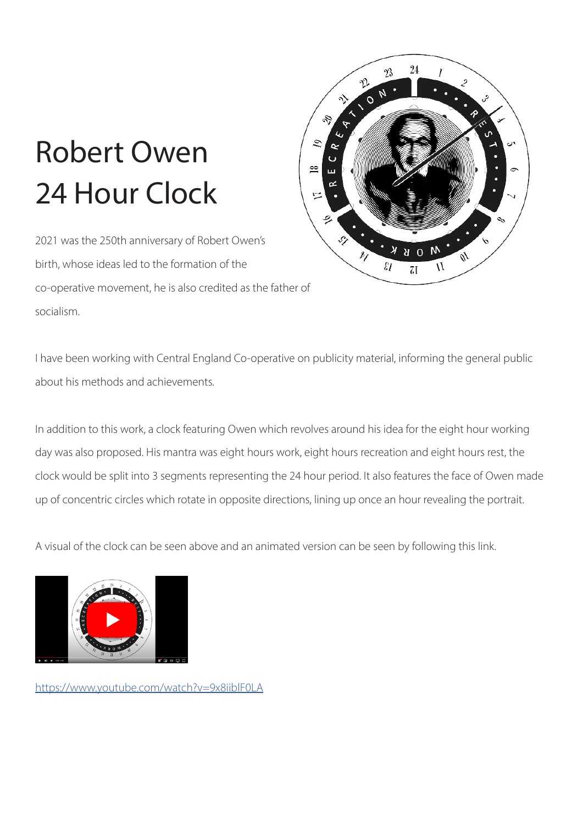## Robert Owen 24 Hour Clock

2021 was the 250th anniversary of Robert Owen's birth, whose ideas led to the formation of the co-operative movement, he is also credited as the father of socialism.



I have been working with Central England Co-operative on publicity material, informing the general public about his methods and achievements.

In addition to this work, a clock featuring Owen which revolves around his idea for the eight hour working day was also proposed. His mantra was eight hours work, eight hours recreation and eight hours rest, the clock would be split into 3 segments representing the 24 hour period. It also features the face of Owen made up of concentric circles which rotate in opposite directions, lining up once an hour revealing the portrait.

A visual of the clock can be seen above and an animated version can be seen by following this link.



[https://www.youtube.com/watch?v=9x8iiblF0LA](https://www.youtube.com/watch?v=9x8iiblF0LA )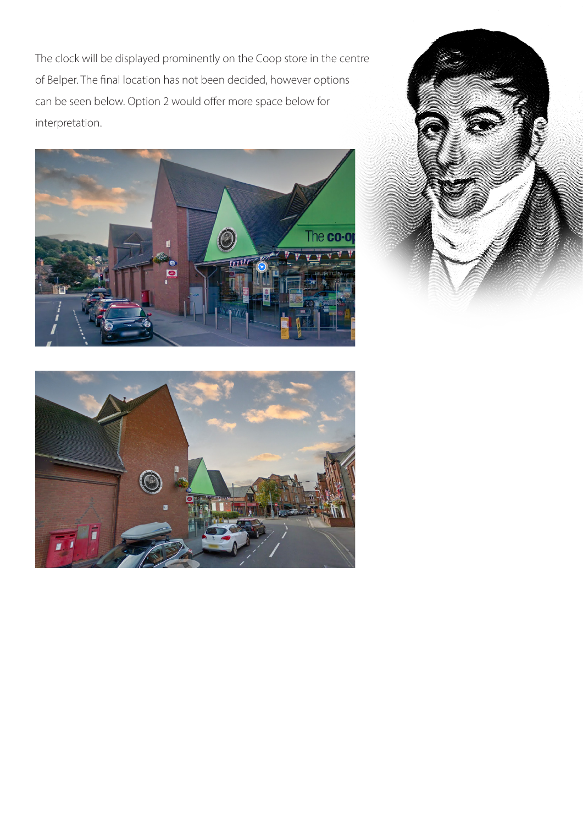The clock will be displayed prominently on the Coop store in the centre of Belper. The final location has not been decided, however options can be seen below. Option 2 would offer more space below for interpretation.